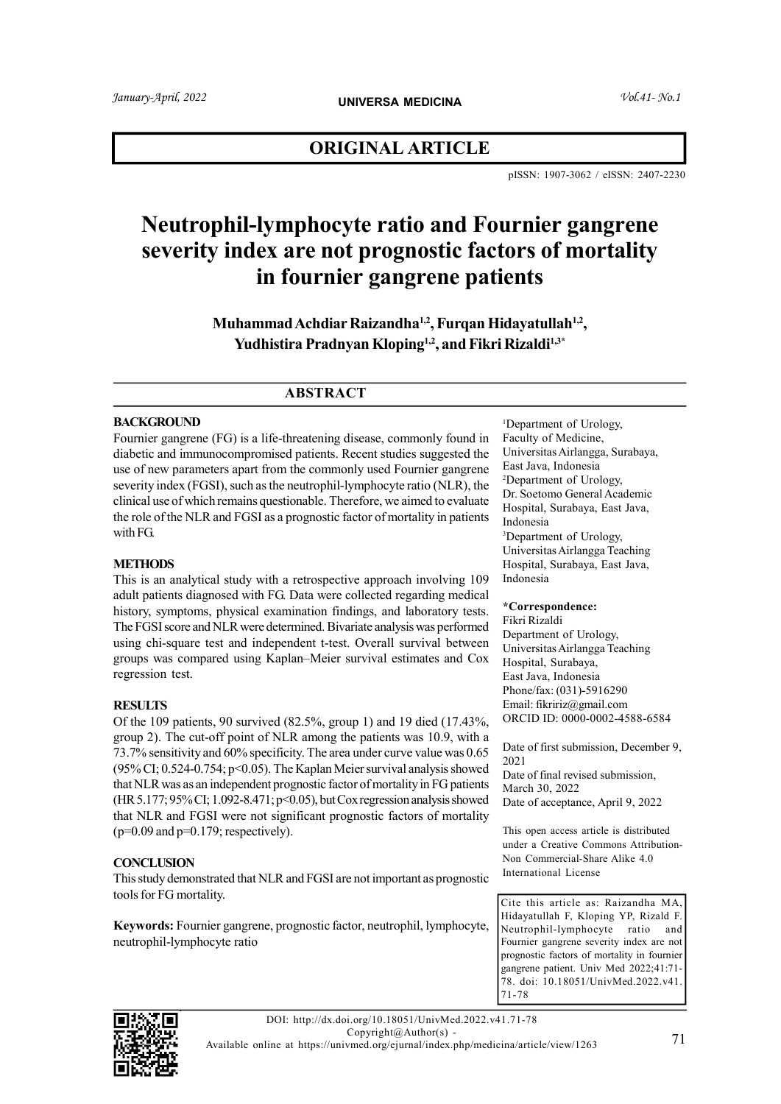# ORIGINAL ARTICLE

pISSN: 1907-3062 / eISSN: 2407-2230

# Neutrophil-lymphocyte ratio and Fournier gangrene severity index are not prognostic factors of mortality in fournier gangrene patients

Muhammad Achdiar Raizandha<sup>1,2</sup>, Furqan Hidayatullah<sup>1,2</sup>, Yudhistira Pradnyan Kloping<sup>1,2</sup>, and Fikri Rizaldi<sup>1,3\*</sup>

# ABSTRACT

#### **BACKGROUND**

Fournier gangrene (FG) is a life-threatening disease, commonly found in diabetic and immunocompromised patients. Recent studies suggested the use of new parameters apart from the commonly used Fournier gangrene severity index (FGSI), such as the neutrophil-lymphocyte ratio (NLR), the clinical use of which remains questionable. Therefore, we aimed to evaluate the role of the NLR and FGSI as a prognostic factor of mortality in patients with FG.

#### **METHODS**

This is an analytical study with a retrospective approach involving 109 adult patients diagnosed with FG. Data were collected regarding medical history, symptoms, physical examination findings, and laboratory tests. The FGSI score and NLR were determined. Bivariate analysis was performed using chi-square test and independent t-test. Overall survival between groups was compared using Kaplan–Meier survival estimates and Cox regression test.

#### **RESULTS**

Of the 109 patients, 90 survived (82.5%, group 1) and 19 died (17.43%, group 2). The cut-off point of NLR among the patients was 10.9, with a 73.7% sensitivity and 60% specificity. The area under curve value was 0.65 (95% CI;  $0.524$ -0.754;  $p$ <0.05). The Kaplan Meier survival analysis showed that NLR was as an independent prognostic factor of mortality in FG patients (HR 5.177; 95% CI; 1.092-8.471; p<0.05), but Cox regression analysis showed that NLR and FGSI were not significant prognostic factors of mortality  $(p=0.09$  and  $p=0.179$ ; respectively).

#### **CONCLUSION**

This study demonstrated that NLR and FGSI are not important as prognostic tools for FG mortality.

Keywords: Fournier gangrene, prognostic factor, neutrophil, lymphocyte, neutrophil-lymphocyte ratio

<sup>1</sup>Department of Urology, Faculty of Medicine, Universitas Airlangga, Surabaya, East Java, Indonesia <sup>2</sup>Department of Urology, Dr. Soetomo General Academic Hospital, Surabaya, East Java, Indonesia <sup>3</sup>Department of Urology, Universitas Airlangga Teaching Hospital, Surabaya, East Java, Indonesia

#### \*Correspondence:

Fikri Rizaldi Department of Urology, Universitas Airlangga Teaching Hospital, Surabaya, East Java, Indonesia Phone/fax: (031)-5916290 Email: fikririz@gmail.com ORCID ID: 0000-0002-4588-6584

Date of first submission, December 9, 2021

Date of final revised submission, March 30, 2022 Date of acceptance, April 9, 2022

This open access article is distributed under a Creative Commons Attribution-Non Commercial-Share Alike 4.0 International License

Cite this article as: Raizandha MA, Hidayatullah F, Kloping YP, Rizald F. Neutrophil-lymphocyte ratio and Fournier gangrene severity index are not prognostic factors of mortality in fournier gangrene patient. Univ Med 2022;41:71- 78. doi: 10.18051/UnivMed.2022.v41. 71-78

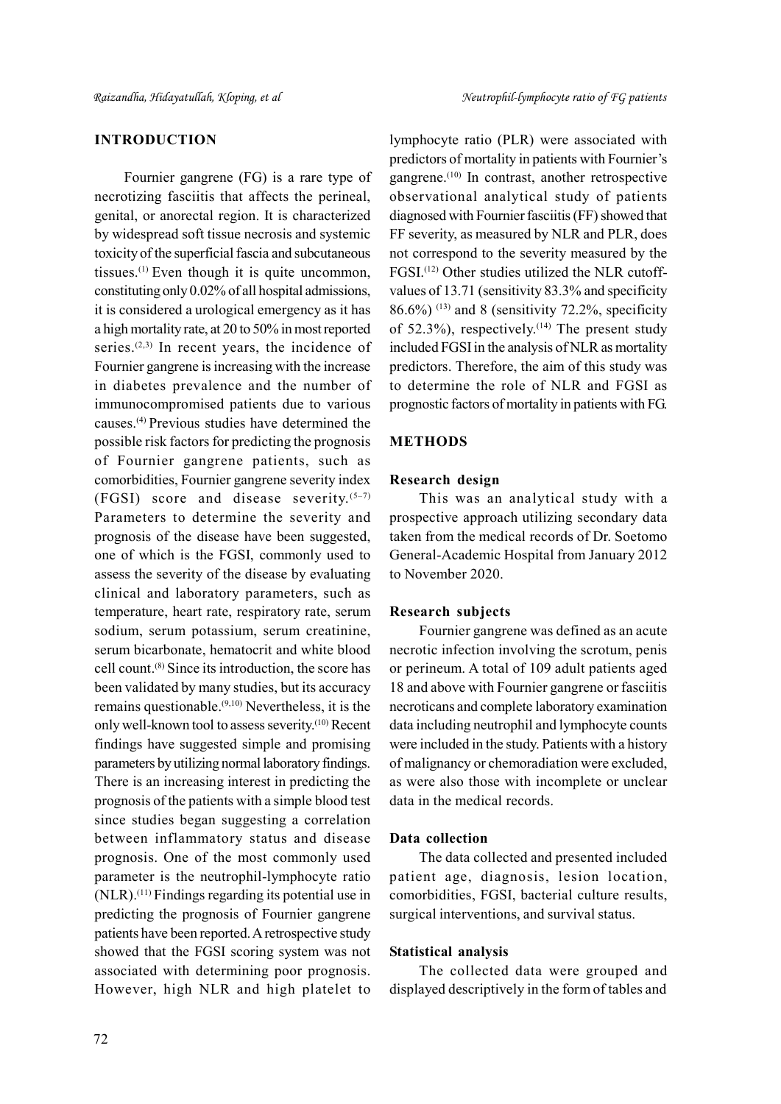# INTRODUCTION

Fournier gangrene (FG) is a rare type of necrotizing fasciitis that affects the perineal, genital, or anorectal region. It is characterized by widespread soft tissue necrosis and systemic toxicity of the superficial fascia and subcutaneous tissues.(1) Even though it is quite uncommon, constituting only 0.02% of all hospital admissions, it is considered a urological emergency as it has a high mortality rate, at 20 to 50% in most reported series.<sup> $(2,3)$ </sup> In recent years, the incidence of Fournier gangrene is increasing with the increase in diabetes prevalence and the number of immunocompromised patients due to various causes.(4) Previous studies have determined the possible risk factors for predicting the prognosis of Fournier gangrene patients, such as comorbidities, Fournier gangrene severity index (FGSI) score and disease severity. $(5-7)$ Parameters to determine the severity and prognosis of the disease have been suggested, one of which is the FGSI, commonly used to assess the severity of the disease by evaluating clinical and laboratory parameters, such as temperature, heart rate, respiratory rate, serum sodium, serum potassium, serum creatinine, serum bicarbonate, hematocrit and white blood cell count.(8) Since its introduction, the score has been validated by many studies, but its accuracy remains questionable.(9,10) Nevertheless, it is the only well-known tool to assess severity.(10) Recent findings have suggested simple and promising parameters by utilizing normal laboratory findings. There is an increasing interest in predicting the prognosis of the patients with a simple blood test since studies began suggesting a correlation between inflammatory status and disease prognosis. One of the most commonly used parameter is the neutrophil-lymphocyte ratio (NLR).(11) Findings regarding its potential use in predicting the prognosis of Fournier gangrene patients have been reported. A retrospective study showed that the FGSI scoring system was not associated with determining poor prognosis. However, high NLR and high platelet to

lymphocyte ratio (PLR) were associated with predictors of mortality in patients with Fournier's gangrene.<sup>(10)</sup> In contrast, another retrospective observational analytical study of patients diagnosed with Fournier fasciitis (FF) showed that FF severity, as measured by NLR and PLR, does not correspond to the severity measured by the FGSI.(12) Other studies utilized the NLR cutoffvalues of 13.71 (sensitivity 83.3% and specificity  $86.6\%$ )<sup>(13)</sup> and 8 (sensitivity 72.2%, specificity of 52.3%), respectively.<sup> $(14)$ </sup> The present study included FGSI in the analysis of NLR as mortality predictors. Therefore, the aim of this study was to determine the role of NLR and FGSI as prognostic factors of mortality in patients with FG.

#### **METHODS**

# Research design

This was an analytical study with a prospective approach utilizing secondary data taken from the medical records of Dr. Soetomo General-Academic Hospital from January 2012 to November 2020.

#### Research subjects

Fournier gangrene was defined as an acute necrotic infection involving the scrotum, penis or perineum. A total of 109 adult patients aged 18 and above with Fournier gangrene or fasciitis necroticans and complete laboratory examination data including neutrophil and lymphocyte counts were included in the study. Patients with a history of malignancy or chemoradiation were excluded, as were also those with incomplete or unclear data in the medical records.

#### Data collection

The data collected and presented included patient age, diagnosis, lesion location, comorbidities, FGSI, bacterial culture results, surgical interventions, and survival status.

#### Statistical analysis

The collected data were grouped and displayed descriptively in the form of tables and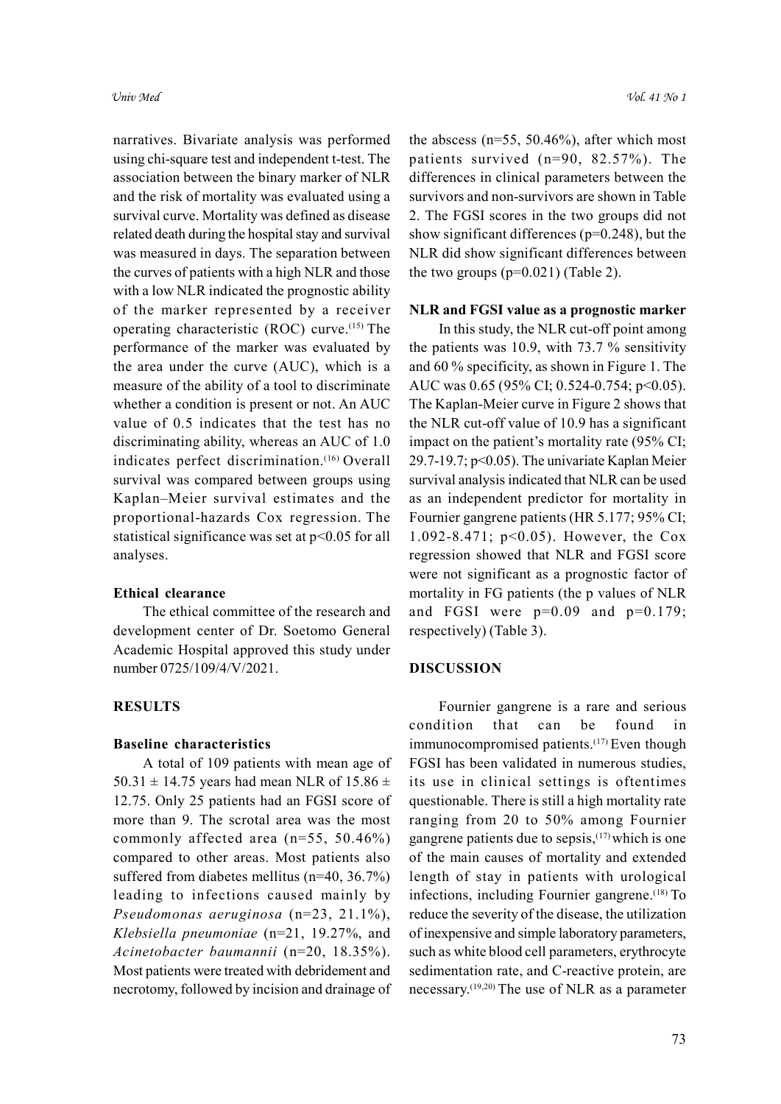narratives. Bivariate analysis was performed using chi-square test and independent t-test. The association between the binary marker of NLR and the risk of mortality was evaluated using a survival curve. Mortality was defined as disease related death during the hospital stay and survival was measured in days. The separation between the curves of patients with a high NLR and those with a low NLR indicated the prognostic ability of the marker represented by a receiver operating characteristic (ROC) curve.(15) The performance of the marker was evaluated by the area under the curve (AUC), which is a measure of the ability of a tool to discriminate whether a condition is present or not. An AUC value of 0.5 indicates that the test has no discriminating ability, whereas an AUC of 1.0 indicates perfect discrimination.<sup>(16)</sup> Overall survival was compared between groups using Kaplan–Meier survival estimates and the proportional-hazards Cox regression. The statistical significance was set at  $p<0.05$  for all analyses.

#### Ethical clearance

The ethical committee of the research and development center of Dr. Soetomo General Academic Hospital approved this study under number 0725/109/4/V/2021.

#### **RESULTS**

#### Baseline characteristics

A total of 109 patients with mean age of 50.31  $\pm$  14.75 years had mean NLR of 15.86  $\pm$ 12.75. Only 25 patients had an FGSI score of more than 9. The scrotal area was the most commonly affected area (n=55, 50.46%) compared to other areas. Most patients also suffered from diabetes mellitus (n=40, 36.7%) leading to infections caused mainly by Pseudomonas aeruginosa (n=23, 21.1%), Klebsiella pneumoniae (n=21, 19.27%, and Acinetobacter baumannii (n=20, 18.35%). Most patients were treated with debridement and necrotomy, followed by incision and drainage of

the abscess ( $n=55$ , 50.46%), after which most patients survived (n=90, 82.57%). The differences in clinical parameters between the survivors and non-survivors are shown in Table 2. The FGSI scores in the two groups did not show significant differences (p=0.248), but the NLR did show significant differences between the two groups  $(p=0.021)$  (Table 2).

# NLR and FGSI value as a prognostic marker

In this study, the NLR cut-off point among the patients was 10.9, with 73.7 % sensitivity and 60 % specificity, as shown in Figure 1. The AUC was 0.65 (95% CI; 0.524-0.754; p<0.05). The Kaplan-Meier curve in Figure 2 shows that the NLR cut-off value of 10.9 has a significant impact on the patient's mortality rate (95% CI; 29.7-19.7; p<0.05). The univariate Kaplan Meier survival analysis indicated that NLR can be used as an independent predictor for mortality in Fournier gangrene patients (HR 5.177; 95% CI; 1.092-8.471; p<0.05). However, the Cox regression showed that NLR and FGSI score were not significant as a prognostic factor of mortality in FG patients (the p values of NLR and FGSI were  $p=0.09$  and  $p=0.179$ ; respectively) (Table 3).

# DISCUSSION

Fournier gangrene is a rare and serious condition that can be found in immunocompromised patients.<sup>(17)</sup> Even though FGSI has been validated in numerous studies, its use in clinical settings is oftentimes questionable. There is still a high mortality rate ranging from 20 to 50% among Fournier gangrene patients due to sepsis, $(17)$  which is one of the main causes of mortality and extended length of stay in patients with urological infections, including Fournier gangrene.<sup>(18)</sup> To reduce the severity of the disease, the utilization of inexpensive and simple laboratory parameters, such as white blood cell parameters, erythrocyte sedimentation rate, and C-reactive protein, are necessary.(19,20) The use of NLR as a parameter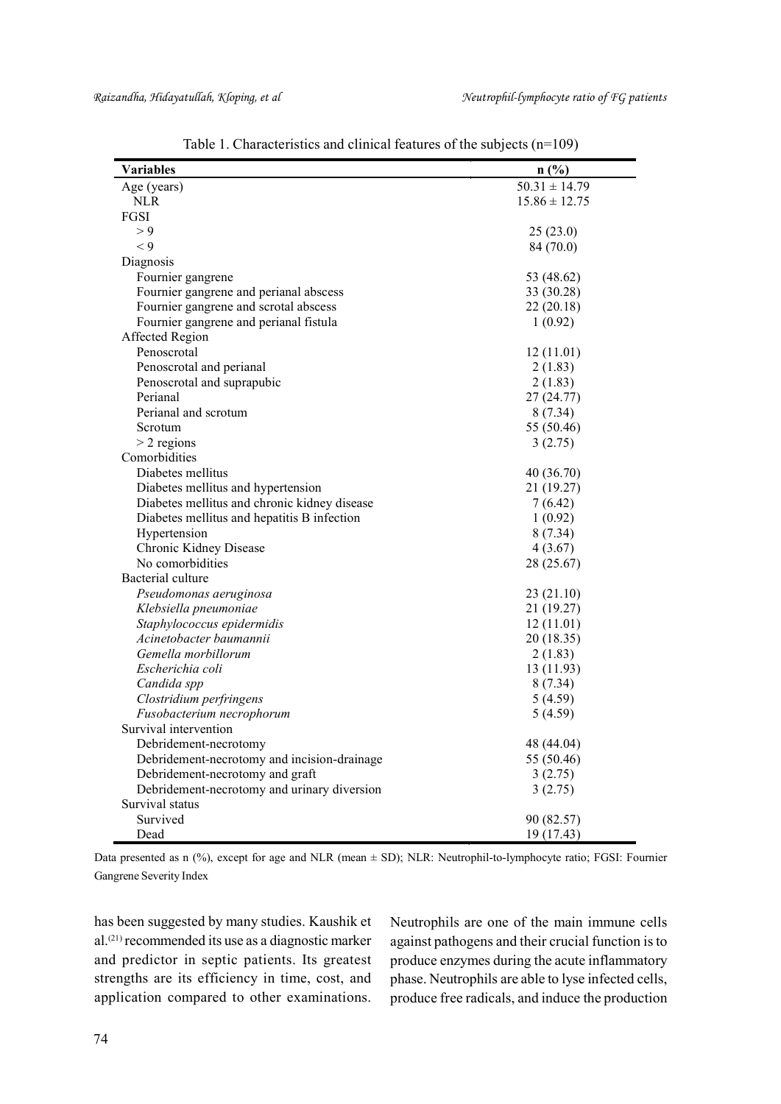| <b>Variables</b>                             | n(%)              |
|----------------------------------------------|-------------------|
| Age (years)                                  | $50.31 \pm 14.79$ |
| <b>NLR</b>                                   | $15.86 \pm 12.75$ |
| FGSI                                         |                   |
| > 9                                          | 25(23.0)          |
| $\lt 9$                                      | 84 (70.0)         |
| Diagnosis                                    |                   |
| Fournier gangrene                            | 53 (48.62)        |
| Fournier gangrene and perianal abscess       | 33 (30.28)        |
| Fournier gangrene and scrotal abscess        | 22 (20.18)        |
| Fournier gangrene and perianal fistula       | 1(0.92)           |
| Affected Region                              |                   |
| Penoscrotal                                  | 12(11.01)         |
| Penoscrotal and perianal                     | 2(1.83)           |
| Penoscrotal and suprapubic                   | 2(1.83)           |
| Perianal                                     | 27 (24.77)        |
| Perianal and scrotum                         | 8(7.34)           |
| Scrotum                                      | 55 (50.46)        |
| $>$ 2 regions                                | 3(2.75)           |
| Comorbidities                                |                   |
| Diabetes mellitus                            | 40 (36.70)        |
| Diabetes mellitus and hypertension           | 21 (19.27)        |
| Diabetes mellitus and chronic kidney disease | 7(6.42)           |
| Diabetes mellitus and hepatitis B infection  | 1(0.92)           |
| Hypertension                                 | 8(7.34)           |
| Chronic Kidney Disease                       | 4(3.67)           |
| No comorbidities                             | 28 (25.67)        |
| Bacterial culture                            |                   |
| Pseudomonas aeruginosa                       | 23 (21.10)        |
| Klebsiella pneumoniae                        | 21 (19.27)        |
| Staphylococcus epidermidis                   | 12(11.01)         |
| Acinetobacter baumannii                      | 20 (18.35)        |
| Gemella morbillorum                          | 2(1.83)           |
| Escherichia coli                             | 13 (11.93)        |
| Candida spp                                  | 8(7.34)           |
| Clostridium perfringens                      | 5(4.59)           |
| Fusobacterium necrophorum                    | 5(4.59)           |
| Survival intervention                        |                   |
| Debridement-necrotomy                        | 48 (44.04)        |
| Debridement-necrotomy and incision-drainage  | 55 (50.46)        |
| Debridement-necrotomy and graft              | 3(2.75)           |
| Debridement-necrotomy and urinary diversion  | 3(2.75)           |
| Survival status                              |                   |
| Survived                                     | 90 (82.57)        |
| Dead                                         | 19 (17.43)        |

Table 1. Characteristics and clinical features of the subjects (n=109)

Data presented as n (%), except for age and NLR (mean  $\pm$  SD); NLR: Neutrophil-to-lymphocyte ratio; FGSI: Fournier Gangrene Severity Index

has been suggested by many studies. Kaushik et al.(21) recommended its use as a diagnostic marker and predictor in septic patients. Its greatest strengths are its efficiency in time, cost, and application compared to other examinations.

Neutrophils are one of the main immune cells against pathogens and their crucial function is to produce enzymes during the acute inflammatory phase. Neutrophils are able to lyse infected cells, produce free radicals, and induce the production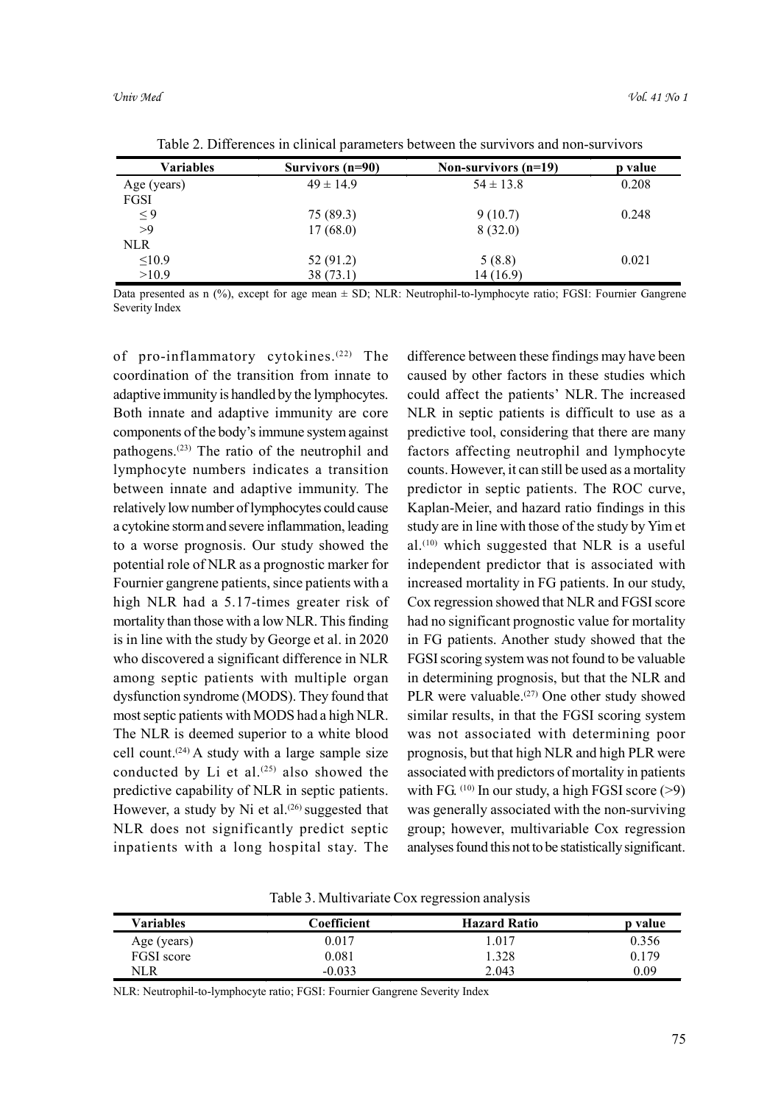| Variables   | Survivors (n=90) | Non-survivors (n=19) | p value |
|-------------|------------------|----------------------|---------|
| Age (years) | $49 \pm 14.9$    | $54 \pm 13.8$        | 0.208   |
| FGSI        |                  |                      |         |
| $\leq 9$    | 75 (89.3)        | 9(10.7)              | 0.248   |
| >9          | 17(68.0)         | 8(32.0)              |         |
| <b>NLR</b>  |                  |                      |         |
| $\leq 10.9$ | 52 (91.2)        | 5(8.8)               | 0.021   |
| >10.9       | 38(73.1)         | 14 (16.9)            |         |

Table 2. Differences in clinical parameters between the survivors and non-survivors

Data presented as n (%), except for age mean  $\pm$  SD; NLR: Neutrophil-to-lymphocyte ratio; FGSI: Fournier Gangrene Severity Index

of pro-inflammatory cytokines.<sup>(22)</sup> The coordination of the transition from innate to adaptive immunity is handled by the lymphocytes. Both innate and adaptive immunity are core components of the body's immune system against pathogens.(23) The ratio of the neutrophil and lymphocyte numbers indicates a transition between innate and adaptive immunity. The relatively low number of lymphocytes could cause a cytokine storm and severe inflammation, leading to a worse prognosis. Our study showed the potential role of NLR as a prognostic marker for Fournier gangrene patients, since patients with a high NLR had a 5.17-times greater risk of mortality than those with a low NLR. This finding is in line with the study by George et al. in 2020 who discovered a significant difference in NLR among septic patients with multiple organ dysfunction syndrome (MODS). They found that most septic patients with MODS had a high NLR. The NLR is deemed superior to a white blood cell count.<sup> $(24)$ </sup> A study with a large sample size conducted by Li et al. $(25)$  also showed the predictive capability of NLR in septic patients. However, a study by Ni et al. $(26)$  suggested that NLR does not significantly predict septic inpatients with a long hospital stay. The difference between these findings may have been caused by other factors in these studies which could affect the patients' NLR. The increased NLR in septic patients is difficult to use as a predictive tool, considering that there are many factors affecting neutrophil and lymphocyte counts. However, it can still be used as a mortality predictor in septic patients. The ROC curve, Kaplan-Meier, and hazard ratio findings in this study are in line with those of the study by Yim et al.<sup> $(10)$ </sup> which suggested that NLR is a useful independent predictor that is associated with increased mortality in FG patients. In our study, Cox regression showed that NLR and FGSI score had no significant prognostic value for mortality in FG patients. Another study showed that the FGSI scoring system was not found to be valuable in determining prognosis, but that the NLR and PLR were valuable.<sup>(27)</sup> One other study showed similar results, in that the FGSI scoring system was not associated with determining poor prognosis, but that high NLR and high PLR were associated with predictors of mortality in patients with FG.  $(10)$  In our study, a high FGSI score (>9) was generally associated with the non-surviving group; however, multivariable Cox regression analyses found this not to be statistically significant.

Table 3. Multivariate Cox regression analysis

| <b>Variables</b> | Coefficient | <b>Hazard Ratio</b> | p value |
|------------------|-------------|---------------------|---------|
| Age (years)      | $0.017\,$   | 1.017               | 0.356   |
| FGSI score       | $_{0.081}$  | 1.328               | 0.179   |
| NLR              | $-0.033$    | 2.043               | 0.09    |

NLR: Neutrophil-to-lymphocyte ratio; FGSI: Fournier Gangrene Severity Index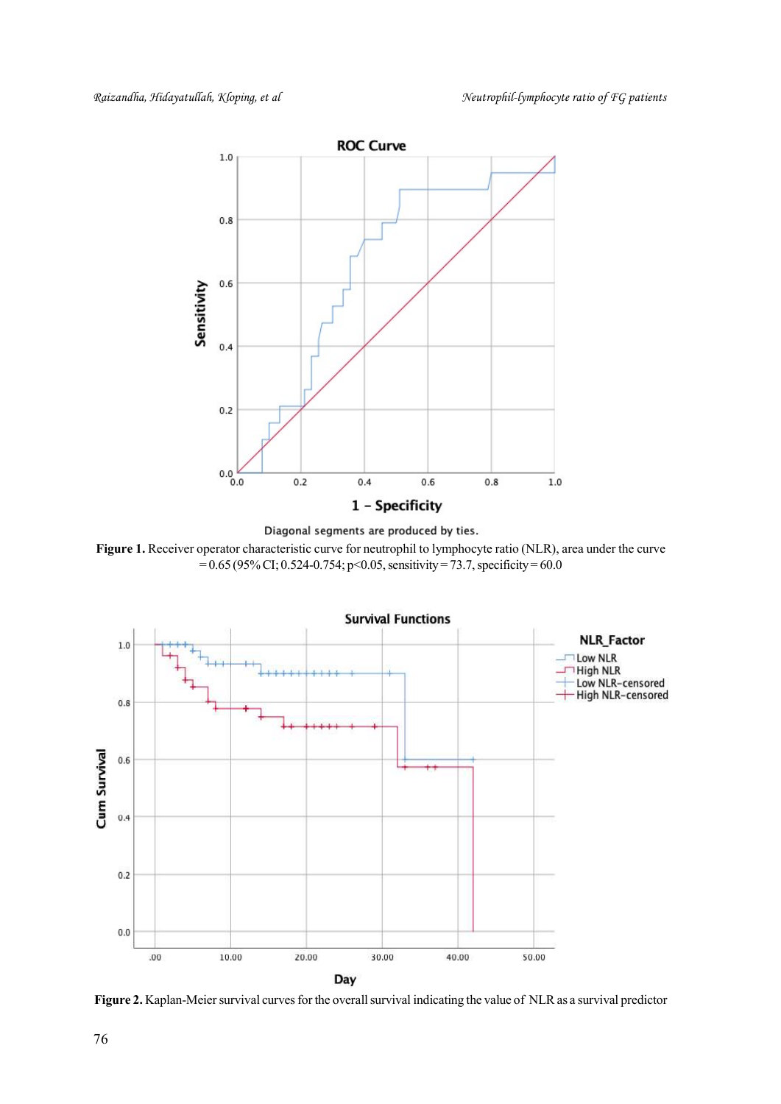





Figure 2. Kaplan-Meier survival curves for the overall survival indicating the value of NLR as a survival predictor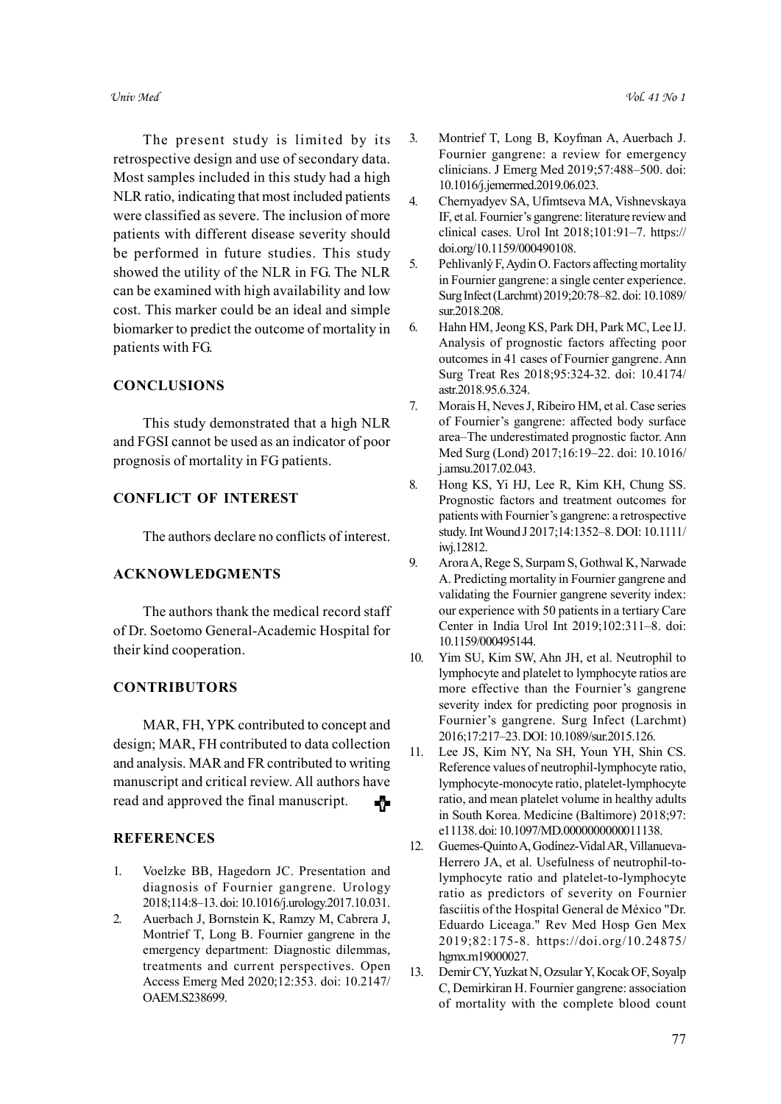The present study is limited by its retrospective design and use of secondary data. Most samples included in this study had a high NLR ratio, indicating that most included patients were classified as severe. The inclusion of more patients with different disease severity should be performed in future studies. This study showed the utility of the NLR in FG. The NLR can be examined with high availability and low cost. This marker could be an ideal and simple biomarker to predict the outcome of mortality in patients with FG.

# **CONCLUSIONS**

This study demonstrated that a high NLR and FGSI cannot be used as an indicator of poor prognosis of mortality in FG patients.

# CONFLICT OF INTEREST

The authors declare no conflicts of interest.

#### ACKNOWLEDGMENTS

The authors thank the medical record staff of Dr. Soetomo General-Academic Hospital for their kind cooperation.

#### **CONTRIBUTORS**

MAR, FH, YPK contributed to concept and design; MAR, FH contributed to data collection and analysis. MAR and FR contributed to writing manuscript and critical review. All authors have read and approved the final manuscript. -9

#### **REFERENCES**

- 1. Voelzke BB, Hagedorn JC. Presentation and diagnosis of Fournier gangrene. Urology 2018;114:8–13. doi: 10.1016/j.urology.2017.10.031.
- 2. Auerbach J, Bornstein K, Ramzy M, Cabrera J, Montrief T, Long B. Fournier gangrene in the emergency department: Diagnostic dilemmas, treatments and current perspectives. Open Access Emerg Med 2020;12:353. doi: 10.2147/ OAEM.S238699.
- 3. Montrief T, Long B, Koyfman A, Auerbach J. Fournier gangrene: a review for emergency clinicians. J Emerg Med 2019;57:488–500. doi: 10.1016/j.jemermed.2019.06.023.
- 4. Chernyadyev SA, Ufimtseva MA, Vishnevskaya IF, et al. Fournier's gangrene: literature review and clinical cases. Urol Int 2018;101:91–7. https:// doi.org/10.1159/000490108.
- 5. Pehlivanlý F, Aydin O. Factors affecting mortality in Fournier gangrene: a single center experience. Surg Infect (Larchmt) 2019;20:78–82. doi: 10.1089/ sur.2018.208.
- 6. Hahn HM, Jeong KS, Park DH, Park MC, Lee IJ. Analysis of prognostic factors affecting poor outcomes in 41 cases of Fournier gangrene. Ann Surg Treat Res 2018;95:324-32. doi: 10.4174/ astr.2018.95.6.324.
- 7. Morais H, Neves J, Ribeiro HM, et al. Case series of Fournier's gangrene: affected body surface area–The underestimated prognostic factor. Ann Med Surg (Lond) 2017;16:19–22. doi: 10.1016/ j.amsu.2017.02.043.
- 8. Hong KS, Yi HJ, Lee R, Kim KH, Chung SS. Prognostic factors and treatment outcomes for patients with Fournier's gangrene: a retrospective study. Int Wound J 2017;14:1352–8. DOI: 10.1111/ iwj.12812.
- 9. Arora A, Rege S, Surpam S, Gothwal K, Narwade A. Predicting mortality in Fournier gangrene and validating the Fournier gangrene severity index: our experience with 50 patients in a tertiary Care Center in India Urol Int 2019;102:311–8. doi: 10.1159/000495144.
- 10. Yim SU, Kim SW, Ahn JH, et al. Neutrophil to lymphocyte and platelet to lymphocyte ratios are more effective than the Fournier's gangrene severity index for predicting poor prognosis in Fournier's gangrene. Surg Infect (Larchmt) 2016;17:217–23. DOI: 10.1089/sur.2015.126.
- 11. Lee JS, Kim NY, Na SH, Youn YH, Shin CS. Reference values of neutrophil-lymphocyte ratio, lymphocyte-monocyte ratio, platelet-lymphocyte ratio, and mean platelet volume in healthy adults in South Korea. Medicine (Baltimore) 2018;97: e11138. doi: 10.1097/MD.0000000000011138.
- 12. Guemes-Quinto A, Godínez-Vidal AR, Villanueva-Herrero JA, et al. Usefulness of neutrophil-tolymphocyte ratio and platelet-to-lymphocyte ratio as predictors of severity on Fournier fasciitis of the Hospital General de México "Dr. Eduardo Liceaga." Rev Med Hosp Gen Mex 2019;82:175-8. https://doi.org/10.24875/ hgmx.m19000027.
- 13. Demir CY, Yuzkat N, Ozsular Y, Kocak OF, Soyalp C, Demirkiran H. Fournier gangrene: association of mortality with the complete blood count